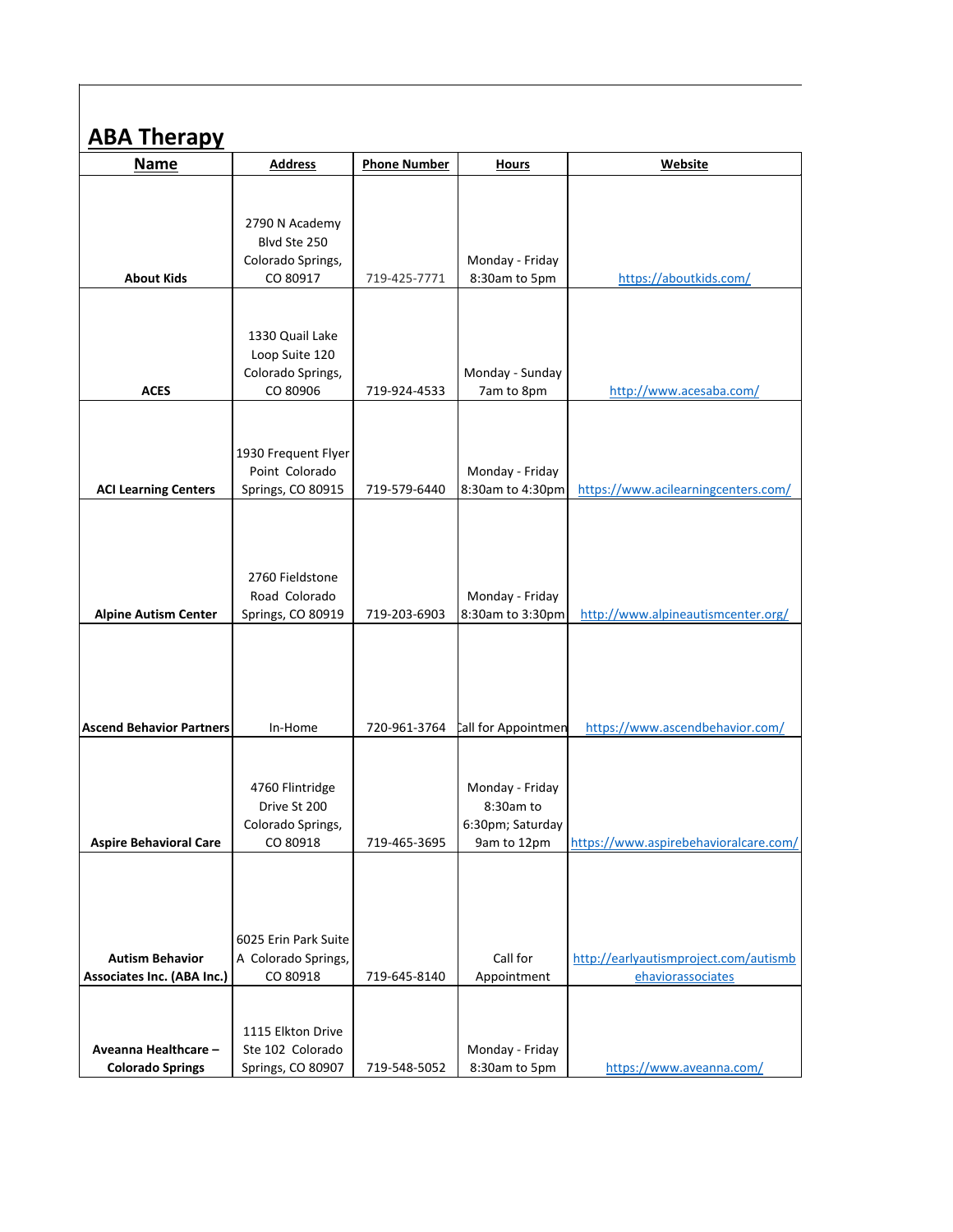## **ABA Therapy**

| <b>Name</b>                     | <b>Address</b>                | <b>Phone Number</b> | <b>Hours</b>                     | <b>Website</b>                        |
|---------------------------------|-------------------------------|---------------------|----------------------------------|---------------------------------------|
|                                 |                               |                     |                                  |                                       |
|                                 |                               |                     |                                  |                                       |
|                                 | 2790 N Academy                |                     |                                  |                                       |
|                                 | Blvd Ste 250                  |                     |                                  |                                       |
| <b>About Kids</b>               | Colorado Springs,<br>CO 80917 | 719-425-7771        | Monday - Friday<br>8:30am to 5pm | https://aboutkids.com/                |
|                                 |                               |                     |                                  |                                       |
|                                 |                               |                     |                                  |                                       |
|                                 | 1330 Quail Lake               |                     |                                  |                                       |
|                                 | Loop Suite 120                |                     |                                  |                                       |
|                                 | Colorado Springs,             |                     | Monday - Sunday                  |                                       |
| <b>ACES</b>                     | CO 80906                      | 719-924-4533        | 7am to 8pm                       | http://www.acesaba.com/               |
|                                 |                               |                     |                                  |                                       |
|                                 |                               |                     |                                  |                                       |
|                                 | 1930 Frequent Flyer           |                     |                                  |                                       |
|                                 | Point Colorado                |                     | Monday - Friday                  |                                       |
| <b>ACI Learning Centers</b>     | Springs, CO 80915             | 719-579-6440        | 8:30am to 4:30pm                 | https://www.acilearningcenters.com/   |
|                                 |                               |                     |                                  |                                       |
|                                 |                               |                     |                                  |                                       |
|                                 |                               |                     |                                  |                                       |
|                                 | 2760 Fieldstone               |                     |                                  |                                       |
|                                 | Road Colorado                 |                     | Monday - Friday                  |                                       |
| <b>Alpine Autism Center</b>     | Springs, CO 80919             | 719-203-6903        | 8:30am to 3:30pm                 | http://www.alpineautismcenter.org/    |
|                                 |                               |                     |                                  |                                       |
|                                 |                               |                     |                                  |                                       |
|                                 |                               |                     |                                  |                                       |
|                                 |                               |                     |                                  |                                       |
| <b>Ascend Behavior Partners</b> | In-Home                       | 720-961-3764        | call for Appointmen              | https://www.ascendbehavior.com/       |
|                                 |                               |                     |                                  |                                       |
|                                 |                               |                     |                                  |                                       |
|                                 | 4760 Flintridge               |                     | Monday - Friday                  |                                       |
|                                 | Drive St 200                  |                     | 8:30am to                        |                                       |
|                                 | Colorado Springs,             |                     | 6:30pm; Saturday                 |                                       |
| <b>Aspire Behavioral Care</b>   | CO 80918                      | 719-465-3695        | 9am to 12pm                      | https://www.aspirebehavioralcare.com/ |
|                                 |                               |                     |                                  |                                       |
|                                 |                               |                     |                                  |                                       |
|                                 |                               |                     |                                  |                                       |
|                                 | 6025 Erin Park Suite          |                     |                                  |                                       |
| <b>Autism Behavior</b>          | A Colorado Springs,           |                     | Call for                         | http://earlyautismproject.com/autismb |
| Associates Inc. (ABA Inc.)      | CO 80918                      | 719-645-8140        | Appointment                      | ehaviorassociates                     |
|                                 |                               |                     |                                  |                                       |
|                                 |                               |                     |                                  |                                       |
|                                 | 1115 Elkton Drive             |                     |                                  |                                       |
| Aveanna Healthcare -            | Ste 102 Colorado              |                     | Monday - Friday                  |                                       |
| <b>Colorado Springs</b>         | Springs, CO 80907             | 719-548-5052        | 8:30am to 5pm                    | https://www.aveanna.com/              |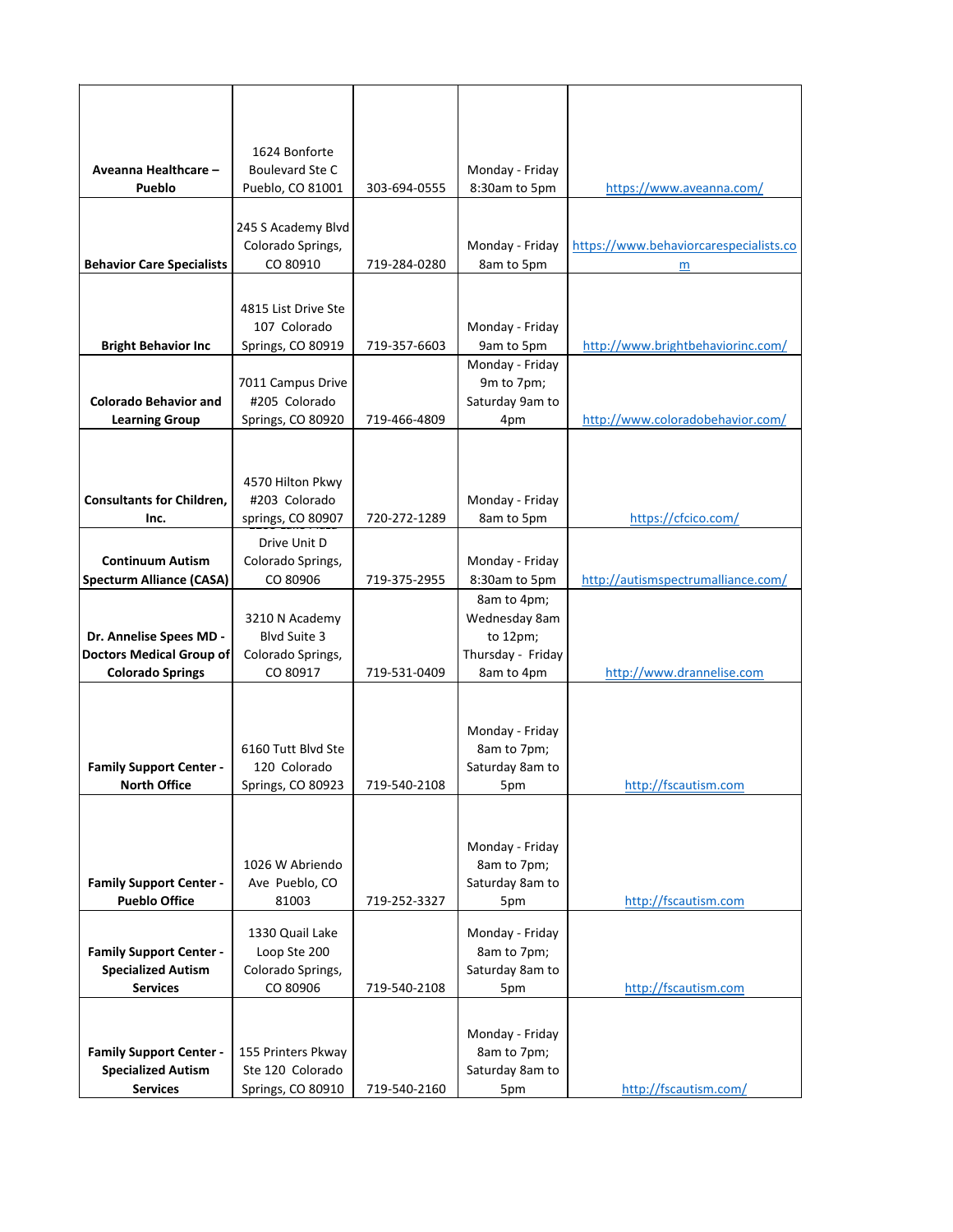|                                                            | 1624 Bonforte                           |              |                                  |                                        |
|------------------------------------------------------------|-----------------------------------------|--------------|----------------------------------|----------------------------------------|
| Aveanna Healthcare -                                       | <b>Boulevard Ste C</b>                  |              | Monday - Friday                  |                                        |
| Pueblo                                                     | Pueblo, CO 81001                        | 303-694-0555 | 8:30am to 5pm                    | https://www.aveanna.com/               |
|                                                            |                                         |              |                                  |                                        |
|                                                            | 245 S Academy Blvd<br>Colorado Springs, |              |                                  | https://www.behaviorcarespecialists.co |
| <b>Behavior Care Specialists</b>                           | CO 80910                                | 719-284-0280 | Monday - Friday<br>8am to 5pm    | m                                      |
|                                                            |                                         |              |                                  |                                        |
|                                                            | 4815 List Drive Ste                     |              |                                  |                                        |
|                                                            | 107 Colorado                            |              | Monday - Friday                  |                                        |
| <b>Bright Behavior Inc</b>                                 | Springs, CO 80919                       | 719-357-6603 | 9am to 5pm                       | http://www.brightbehaviorinc.com/      |
|                                                            |                                         |              | Monday - Friday                  |                                        |
|                                                            | 7011 Campus Drive                       |              | 9m to 7pm;                       |                                        |
| <b>Colorado Behavior and</b>                               | #205 Colorado                           |              | Saturday 9am to                  |                                        |
| <b>Learning Group</b>                                      | Springs, CO 80920                       | 719-466-4809 | 4pm                              | http://www.coloradobehavior.com/       |
|                                                            |                                         |              |                                  |                                        |
|                                                            |                                         |              |                                  |                                        |
|                                                            | 4570 Hilton Pkwy                        |              |                                  |                                        |
| <b>Consultants for Children,</b><br>Inc.                   | #203 Colorado<br>springs, CO 80907      | 720-272-1289 | Monday - Friday<br>8am to 5pm    | https://cfcico.com/                    |
|                                                            |                                         |              |                                  |                                        |
|                                                            | Drive Unit D                            |              |                                  |                                        |
| <b>Continuum Autism</b><br><b>Specturm Alliance (CASA)</b> | Colorado Springs,<br>CO 80906           | 719-375-2955 | Monday - Friday<br>8:30am to 5pm | http://autismspectrumalliance.com/     |
|                                                            |                                         |              | 8am to 4pm;                      |                                        |
|                                                            | 3210 N Academy                          |              | Wednesday 8am                    |                                        |
| Dr. Annelise Spees MD -                                    | <b>Blvd Suite 3</b>                     |              | to 12pm;                         |                                        |
| <b>Doctors Medical Group of</b>                            | Colorado Springs,                       |              | Thursday - Friday                |                                        |
| <b>Colorado Springs</b>                                    | CO 80917                                | 719-531-0409 | 8am to 4pm                       | http://www.drannelise.com              |
|                                                            |                                         |              |                                  |                                        |
|                                                            |                                         |              |                                  |                                        |
|                                                            | 6160 Tutt Blyd Ste                      |              | Monday - Friday<br>8am to 7pm;   |                                        |
| <b>Family Support Center -</b>                             | 120 Colorado                            |              | Saturday 8am to                  |                                        |
| North Office                                               | Springs, CO 80923                       | 719-540-2108 | 5pm                              | http://fscautism.com                   |
|                                                            |                                         |              |                                  |                                        |
|                                                            |                                         |              |                                  |                                        |
|                                                            |                                         |              | Monday - Friday                  |                                        |
|                                                            | 1026 W Abriendo                         |              | 8am to 7pm;                      |                                        |
| <b>Family Support Center -</b>                             | Ave Pueblo, CO                          |              | Saturday 8am to                  |                                        |
| <b>Pueblo Office</b>                                       | 81003                                   | 719-252-3327 | 5pm                              | http://fscautism.com                   |
|                                                            | 1330 Quail Lake                         |              | Monday - Friday                  |                                        |
| <b>Family Support Center -</b>                             | Loop Ste 200                            |              | 8am to 7pm;                      |                                        |
| <b>Specialized Autism</b>                                  | Colorado Springs,                       |              | Saturday 8am to                  |                                        |
| <b>Services</b>                                            | CO 80906                                | 719-540-2108 | 5pm                              | http://fscautism.com                   |
|                                                            |                                         |              |                                  |                                        |
|                                                            |                                         |              | Monday - Friday                  |                                        |
| <b>Family Support Center -</b>                             | 155 Printers Pkway                      |              | 8am to 7pm;                      |                                        |
| <b>Specialized Autism</b><br><b>Services</b>               | Ste 120 Colorado<br>Springs, CO 80910   | 719-540-2160 | Saturday 8am to                  | http://fscautism.com/                  |
|                                                            |                                         |              | 5pm                              |                                        |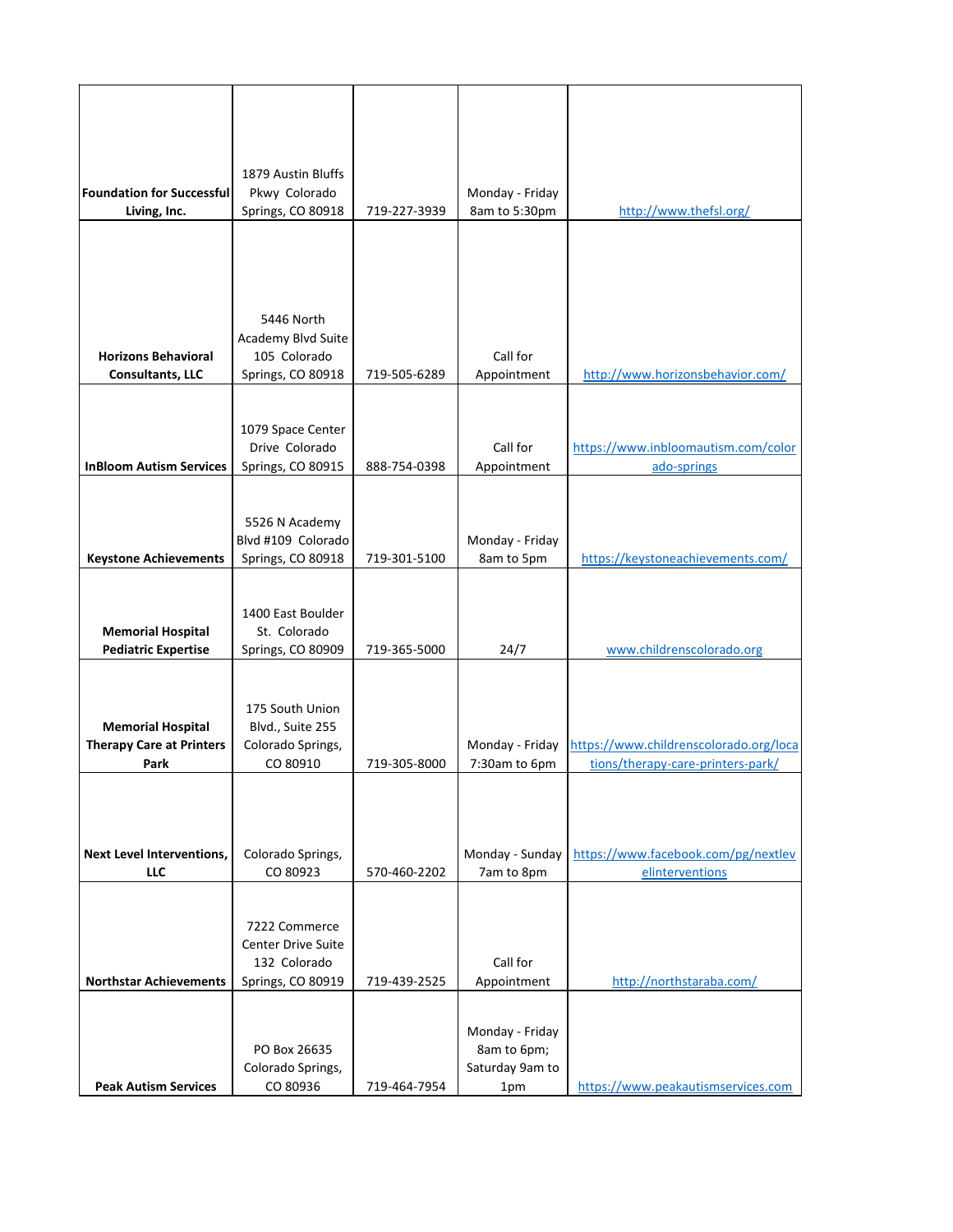| <b>Foundation for Successful</b> | 1879 Austin Bluffs<br>Pkwy Colorado     |              | Monday - Friday                |                                        |
|----------------------------------|-----------------------------------------|--------------|--------------------------------|----------------------------------------|
| Living, Inc.                     | Springs, CO 80918                       | 719-227-3939 | 8am to 5:30pm                  | http://www.thefsl.org/                 |
|                                  |                                         |              |                                |                                        |
|                                  |                                         |              |                                |                                        |
|                                  |                                         |              |                                |                                        |
|                                  | 5446 North                              |              |                                |                                        |
|                                  | Academy Blvd Suite                      |              |                                |                                        |
| <b>Horizons Behavioral</b>       | 105 Colorado                            |              | Call for                       |                                        |
| <b>Consultants, LLC</b>          | Springs, CO 80918                       | 719-505-6289 | Appointment                    | http://www.horizonsbehavior.com/       |
|                                  |                                         |              |                                |                                        |
|                                  | 1079 Space Center                       |              |                                |                                        |
| <b>InBloom Autism Services</b>   | Drive Colorado<br>Springs, CO 80915     | 888-754-0398 | Call for                       | https://www.inbloomautism.com/color    |
|                                  |                                         |              | Appointment                    | ado-springs                            |
|                                  |                                         |              |                                |                                        |
|                                  | 5526 N Academy                          |              |                                |                                        |
| <b>Keystone Achievements</b>     | Blvd #109 Colorado<br>Springs, CO 80918 | 719-301-5100 | Monday - Friday<br>8am to 5pm  | https://keystoneachievements.com/      |
|                                  |                                         |              |                                |                                        |
|                                  |                                         |              |                                |                                        |
| <b>Memorial Hospital</b>         | 1400 East Boulder<br>St. Colorado       |              |                                |                                        |
| <b>Pediatric Expertise</b>       | Springs, CO 80909                       | 719-365-5000 | 24/7                           | www.childrenscolorado.org              |
|                                  |                                         |              |                                |                                        |
|                                  | 175 South Union                         |              |                                |                                        |
| <b>Memorial Hospital</b>         | Blvd., Suite 255                        |              |                                |                                        |
| <b>Therapy Care at Printers</b>  | Colorado Springs,                       |              | Monday - Friday                | https://www.childrenscolorado.org/loca |
| Park                             | CO 80910                                | 719-305-8000 | 7:30am to 6pm                  | tions/therapy-care-printers-park/      |
|                                  |                                         |              |                                |                                        |
|                                  |                                         |              |                                |                                        |
| <b>Next Level Interventions,</b> | Colorado Springs,                       |              | Monday - Sunday                | https://www.facebook.com/pg/nextlev    |
| LLC                              | CO 80923                                | 570-460-2202 | 7am to 8pm                     | elinterventions                        |
|                                  |                                         |              |                                |                                        |
|                                  | 7222 Commerce                           |              |                                |                                        |
|                                  | <b>Center Drive Suite</b>               |              |                                |                                        |
|                                  | 132 Colorado                            |              | Call for                       |                                        |
| <b>Northstar Achievements</b>    | Springs, CO 80919                       | 719-439-2525 | Appointment                    | http://northstaraba.com/               |
|                                  |                                         |              |                                |                                        |
|                                  |                                         |              | Monday - Friday                |                                        |
|                                  | PO Box 26635<br>Colorado Springs,       |              | 8am to 6pm;<br>Saturday 9am to |                                        |
| <b>Peak Autism Services</b>      | CO 80936                                | 719-464-7954 | 1pm                            | https://www.peakautismservices.com     |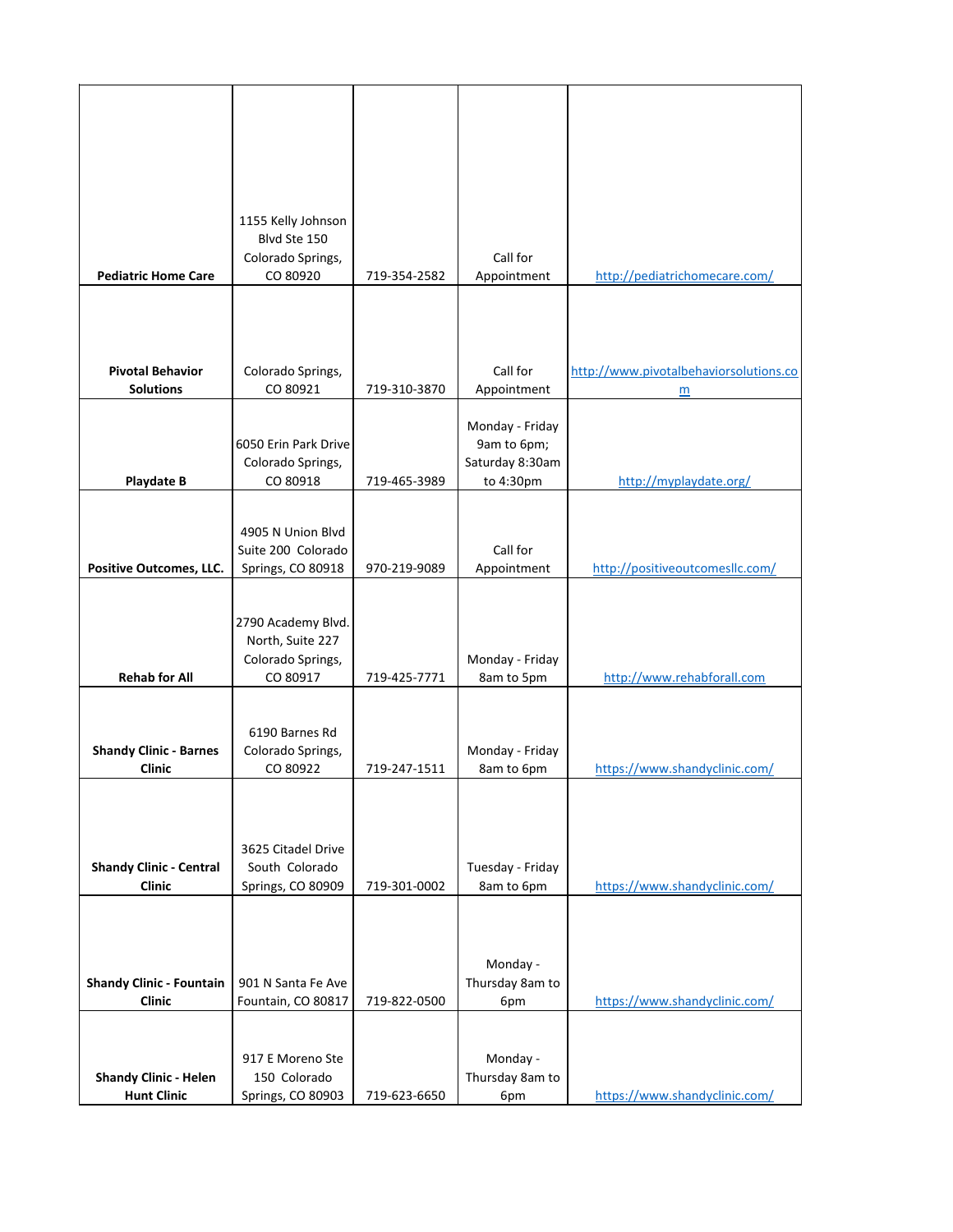|                                 | 1155 Kelly Johnson                    |              |                                |                                        |
|---------------------------------|---------------------------------------|--------------|--------------------------------|----------------------------------------|
|                                 | Blvd Ste 150                          |              |                                |                                        |
| <b>Pediatric Home Care</b>      | Colorado Springs,<br>CO 80920         | 719-354-2582 | Call for<br>Appointment        | http://pediatrichomecare.com/          |
|                                 |                                       |              |                                |                                        |
|                                 |                                       |              |                                |                                        |
|                                 |                                       |              |                                |                                        |
| <b>Pivotal Behavior</b>         | Colorado Springs,                     |              | Call for                       | http://www.pivotalbehaviorsolutions.co |
| <b>Solutions</b>                | CO 80921                              | 719-310-3870 | Appointment                    | m                                      |
|                                 |                                       |              |                                |                                        |
|                                 | 6050 Erin Park Drive                  |              | Monday - Friday<br>9am to 6pm; |                                        |
|                                 | Colorado Springs,                     |              | Saturday 8:30am                |                                        |
| <b>Playdate B</b>               | CO 80918                              | 719-465-3989 | to 4:30pm                      | http://myplaydate.org/                 |
|                                 |                                       |              |                                |                                        |
|                                 | 4905 N Union Blvd                     |              |                                |                                        |
|                                 | Suite 200 Colorado                    |              | Call for                       |                                        |
| <b>Positive Outcomes, LLC.</b>  | Springs, CO 80918                     | 970-219-9089 | Appointment                    | http://positiveoutcomesllc.com/        |
|                                 |                                       |              |                                |                                        |
|                                 | 2790 Academy Blvd.                    |              |                                |                                        |
|                                 | North, Suite 227<br>Colorado Springs, |              | Monday - Friday                |                                        |
| <b>Rehab for All</b>            | CO 80917                              | 719-425-7771 | 8am to 5pm                     | http://www.rehabforall.com             |
|                                 |                                       |              |                                |                                        |
|                                 | 6190 Barnes Rd                        |              |                                |                                        |
| <b>Shandy Clinic - Barnes</b>   | Colorado Springs,                     |              | Monday - Friday                |                                        |
| Clinic                          | CO 80922                              | 719-247-1511 | 8am to 6pm                     | https://www.shandyclinic.com/          |
|                                 |                                       |              |                                |                                        |
|                                 |                                       |              |                                |                                        |
|                                 | 3625 Citadel Drive                    |              |                                |                                        |
| <b>Shandy Clinic - Central</b>  | South Colorado                        |              | Tuesday - Friday               |                                        |
| <b>Clinic</b>                   | Springs, CO 80909                     | 719-301-0002 | 8am to 6pm                     | https://www.shandyclinic.com/          |
|                                 |                                       |              |                                |                                        |
|                                 |                                       |              |                                |                                        |
|                                 |                                       |              | Monday -                       |                                        |
| <b>Shandy Clinic - Fountain</b> | 901 N Santa Fe Ave                    |              | Thursday 8am to                |                                        |
| <b>Clinic</b>                   | Fountain, CO 80817                    | 719-822-0500 | 6pm                            | https://www.shandyclinic.com/          |
|                                 |                                       |              |                                |                                        |
|                                 | 917 E Moreno Ste                      |              | Monday -                       |                                        |
| <b>Shandy Clinic - Helen</b>    | 150 Colorado                          |              | Thursday 8am to                |                                        |
| <b>Hunt Clinic</b>              | Springs, CO 80903                     | 719-623-6650 | 6pm                            | https://www.shandyclinic.com/          |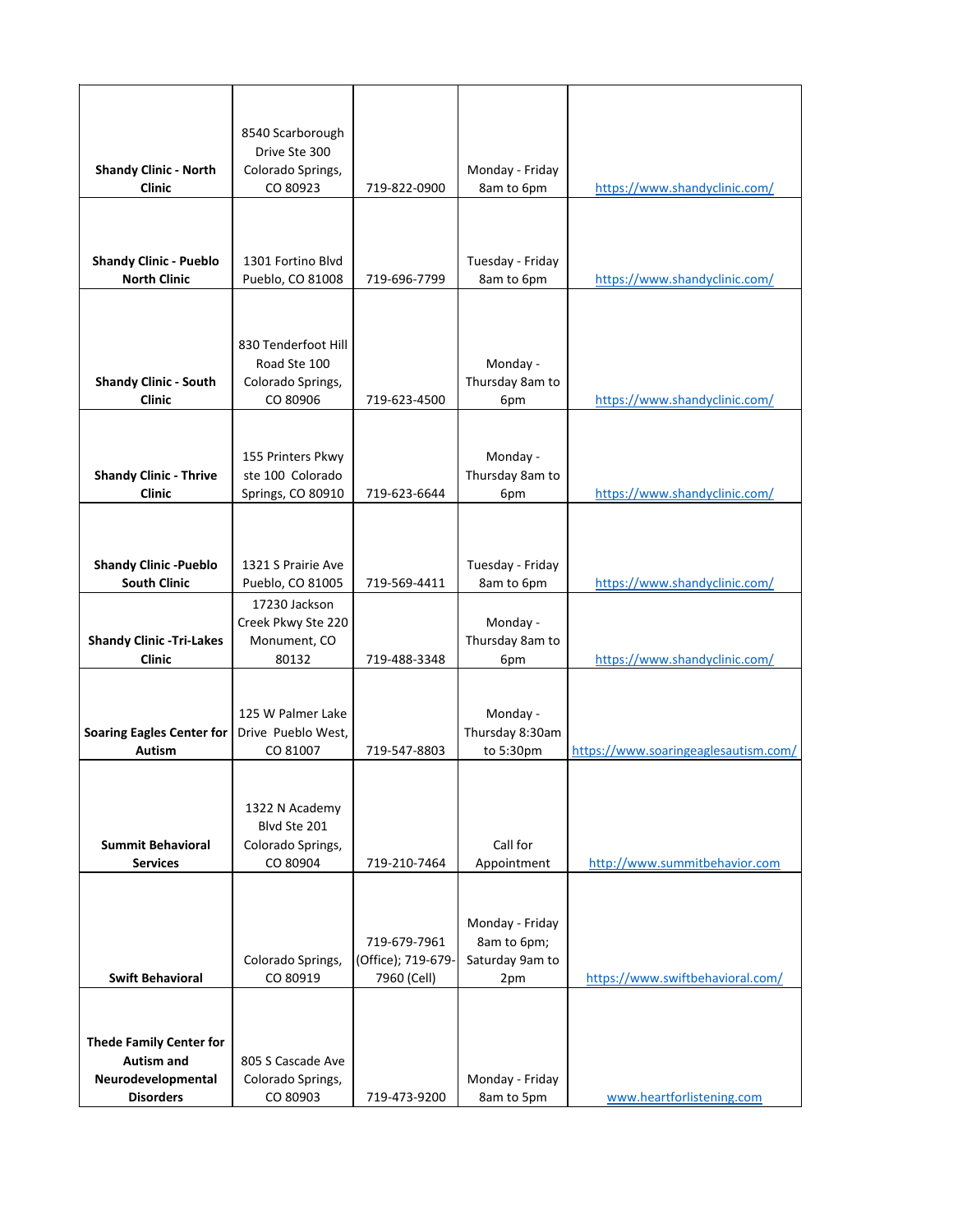|                                  | 8540 Scarborough    |                    |                  |                                      |
|----------------------------------|---------------------|--------------------|------------------|--------------------------------------|
|                                  |                     |                    |                  |                                      |
|                                  | Drive Ste 300       |                    |                  |                                      |
| <b>Shandy Clinic - North</b>     | Colorado Springs,   |                    | Monday - Friday  |                                      |
| <b>Clinic</b>                    | CO 80923            | 719-822-0900       | 8am to 6pm       | https://www.shandyclinic.com/        |
|                                  |                     |                    |                  |                                      |
|                                  |                     |                    |                  |                                      |
|                                  |                     |                    |                  |                                      |
| <b>Shandy Clinic - Pueblo</b>    | 1301 Fortino Blvd   |                    | Tuesday - Friday |                                      |
| <b>North Clinic</b>              | Pueblo, CO 81008    | 719-696-7799       | 8am to 6pm       | https://www.shandyclinic.com/        |
|                                  |                     |                    |                  |                                      |
|                                  |                     |                    |                  |                                      |
|                                  |                     |                    |                  |                                      |
|                                  | 830 Tenderfoot Hill |                    |                  |                                      |
|                                  | Road Ste 100        |                    | Monday -         |                                      |
| <b>Shandy Clinic - South</b>     | Colorado Springs,   |                    | Thursday 8am to  |                                      |
| <b>Clinic</b>                    | CO 80906            | 719-623-4500       | 6pm              | https://www.shandyclinic.com/        |
|                                  |                     |                    |                  |                                      |
|                                  |                     |                    |                  |                                      |
|                                  | 155 Printers Pkwy   |                    | Monday -         |                                      |
| <b>Shandy Clinic - Thrive</b>    | ste 100 Colorado    |                    | Thursday 8am to  |                                      |
| <b>Clinic</b>                    | Springs, CO 80910   | 719-623-6644       | 6pm              | https://www.shandyclinic.com/        |
|                                  |                     |                    |                  |                                      |
|                                  |                     |                    |                  |                                      |
|                                  |                     |                    |                  |                                      |
| <b>Shandy Clinic -Pueblo</b>     | 1321 S Prairie Ave  |                    | Tuesday - Friday |                                      |
| <b>South Clinic</b>              | Pueblo, CO 81005    | 719-569-4411       | 8am to 6pm       | https://www.shandyclinic.com/        |
|                                  | 17230 Jackson       |                    |                  |                                      |
|                                  | Creek Pkwy Ste 220  |                    | Monday -         |                                      |
| <b>Shandy Clinic - Tri-Lakes</b> | Monument, CO        |                    | Thursday 8am to  |                                      |
| <b>Clinic</b>                    | 80132               | 719-488-3348       | 6pm              | https://www.shandyclinic.com/        |
|                                  |                     |                    |                  |                                      |
|                                  |                     |                    |                  |                                      |
|                                  | 125 W Palmer Lake   |                    | Monday -         |                                      |
| <b>Soaring Eagles Center for</b> | Drive Pueblo West,  |                    | Thursday 8:30am  |                                      |
| Autism                           | CO 81007            | 719-547-8803       | to 5:30pm        | https://www.soaringeaglesautism.com/ |
|                                  |                     |                    |                  |                                      |
|                                  |                     |                    |                  |                                      |
|                                  |                     |                    |                  |                                      |
|                                  | 1322 N Academy      |                    |                  |                                      |
|                                  | Blvd Ste 201        |                    | Call for         |                                      |
| <b>Summit Behavioral</b>         | Colorado Springs,   |                    |                  |                                      |
| <b>Services</b>                  | CO 80904            | 719-210-7464       | Appointment      | http://www.summitbehavior.com        |
|                                  |                     |                    |                  |                                      |
|                                  |                     |                    |                  |                                      |
|                                  |                     |                    | Monday - Friday  |                                      |
|                                  |                     | 719-679-7961       | 8am to 6pm;      |                                      |
|                                  | Colorado Springs,   | (Office); 719-679- | Saturday 9am to  |                                      |
| <b>Swift Behavioral</b>          | CO 80919            | 7960 (Cell)        | 2pm              | https://www.swiftbehavioral.com/     |
|                                  |                     |                    |                  |                                      |
|                                  |                     |                    |                  |                                      |
|                                  |                     |                    |                  |                                      |
| <b>Thede Family Center for</b>   |                     |                    |                  |                                      |
| <b>Autism and</b>                | 805 S Cascade Ave   |                    |                  |                                      |
| Neurodevelopmental               | Colorado Springs,   |                    | Monday - Friday  |                                      |
| <b>Disorders</b>                 | CO 80903            | 719-473-9200       | 8am to 5pm       | www.heartforlistening.com            |